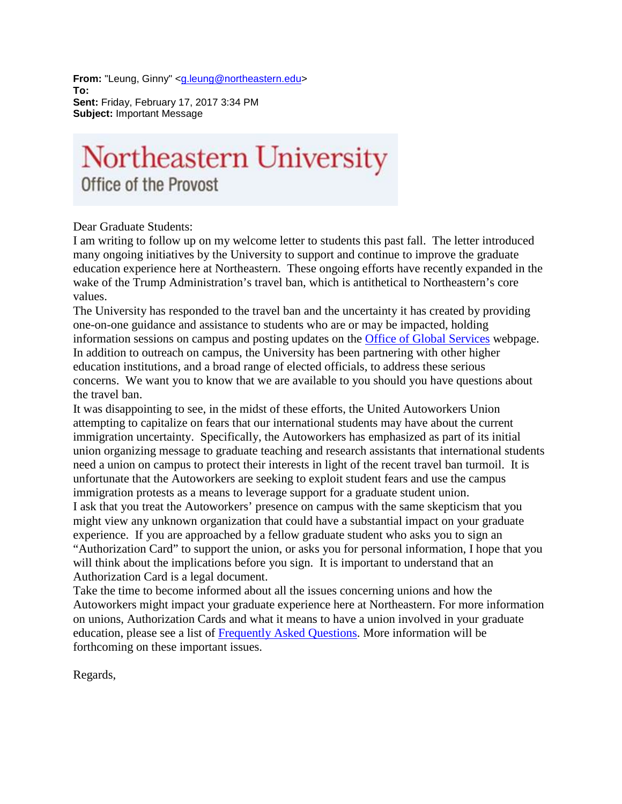From: "Leung, Ginny" [<g.leung@northeastern.edu>](mailto:g.leung@northeastern.edu) **To: Sent:** Friday, February 17, 2017 3:34 PM **Subject:** Important Message

## Northeastern University Office of the Provost

Dear Graduate Students:

I am writing to follow up on my welcome letter to students this past fall. The letter introduced many ongoing initiatives by the University to support and continue to improve the graduate education experience here at Northeastern. These ongoing efforts have recently expanded in the wake of the Trump Administration's travel ban, which is antithetical to Northeastern's core values.

The University has responded to the travel ban and the uncertainty it has created by providing one-on-one guidance and assistance to students who are or may be impacted, holding information sessions on campus and posting updates on the [Office of Global Services](https://www.northeastern.edu/ogs/) webpage. In addition to outreach on campus, the University has been partnering with other higher education institutions, and a broad range of elected officials, to address these serious concerns. We want you to know that we are available to you should you have questions about the travel ban.

It was disappointing to see, in the midst of these efforts, the United Autoworkers Union attempting to capitalize on fears that our international students may have about the current immigration uncertainty. Specifically, the Autoworkers has emphasized as part of its initial union organizing message to graduate teaching and research assistants that international students need a union on campus to protect their interests in light of the recent travel ban turmoil. It is unfortunate that the Autoworkers are seeking to exploit student fears and use the campus immigration protests as a means to leverage support for a graduate student union. I ask that you treat the Autoworkers' presence on campus with the same skepticism that you might view any unknown organization that could have a substantial impact on your graduate experience. If you are approached by a fellow graduate student who asks you to sign an "Authorization Card" to support the union, or asks you for personal information, I hope that you will think about the implications before you sign. It is important to understand that an Authorization Card is a legal document.

Take the time to become informed about all the issues concerning unions and how the Autoworkers might impact your graduate experience here at Northeastern. For more information on unions, Authorization Cards and what it means to have a union involved in your graduate education, please see a list of [Frequently Asked Questions.](http://www.northeastern.edu/provost/wp-content/uploads/Grad-Student-FAQs.pdf) More information will be forthcoming on these important issues.

Regards,